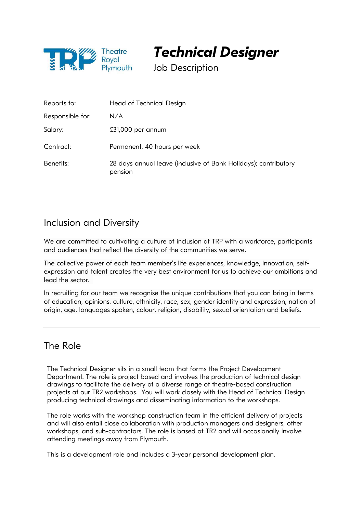

Technical Designer

Job Description

| Reports to:      | Head of Technical Design                                                   |
|------------------|----------------------------------------------------------------------------|
| Responsible for: | N/A                                                                        |
| Salary:          | £31,000 per annum                                                          |
| Contract:        | Permanent, 40 hours per week                                               |
| Benefits:        | 28 days annual leave (inclusive of Bank Holidays); contributory<br>pension |

# Inclusion and Diversity

We are committed to cultivating a culture of inclusion at TRP with a workforce, participants and audiences that reflect the diversity of the communities we serve.

The collective power of each team member's life experiences, knowledge, innovation, selfexpression and talent creates the very best environment for us to achieve our ambitions and lead the sector.

In recruiting for our team we recognise the unique contributions that you can bring in terms of education, opinions, culture, ethnicity, race, sex, gender identity and expression, nation of origin, age, languages spoken, colour, religion, disability, sexual orientation and beliefs.

# The Role

The Technical Designer sits in a small team that forms the Project Development Department. The role is project based and involves the production of technical design drawings to facilitate the delivery of a diverse range of theatre-based construction projects at our TR2 workshops. You will work closely with the Head of Technical Design producing technical drawings and disseminating information to the workshops.

The role works with the workshop construction team in the efficient delivery of projects and will also entail close collaboration with production managers and designers, other workshops, and sub-contractors. The role is based at TR2 and will occasionally involve attending meetings away from Plymouth.

This is a development role and includes a 3-year personal development plan.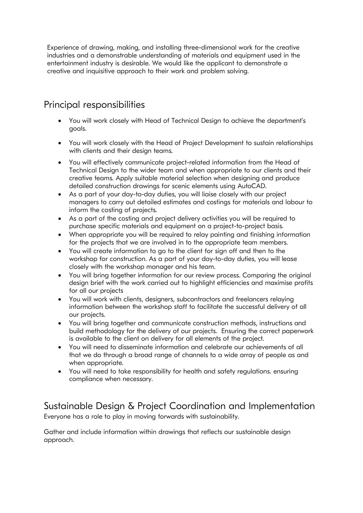Experience of drawing, making, and installing three-dimensional work for the creative industries and a demonstrable understanding of materials and equipment used in the entertainment industry is desirable. We would like the applicant to demonstrate a creative and inquisitive approach to their work and problem solving.

# Principal responsibilities

- You will work closely with Head of Technical Design to achieve the department's goals.
- You will work closely with the Head of Project Development to sustain relationships with clients and their design teams.
- You will effectively communicate project-related information from the Head of Technical Design to the wider team and when appropriate to our clients and their creative teams. Apply suitable material selection when designing and produce detailed construction drawings for scenic elements using AutoCAD.
- As a part of your day-to-day duties, you will liaise closely with our project managers to carry out detailed estimates and costings for materials and labour to inform the costing of projects.
- As a part of the costing and project delivery activities you will be required to purchase specific materials and equipment on a project-to-project basis.
- When appropriate you will be required to relay painting and finishing information for the projects that we are involved in to the appropriate team members.
- You will create information to go to the client for sign off and then to the workshop for construction. As a part of your day-to-day duties, you will lease closely with the workshop manager and his team.
- You will bring together information for our review process. Comparing the original design brief with the work carried out to highlight efficiencies and maximise profits for all our projects
- You will work with clients, designers, subcontractors and freelancers relaying information between the workshop staff to facilitate the successful delivery of all our projects.
- You will bring together and communicate construction methods, instructions and build methodology for the delivery of our projects. Ensuring the correct paperwork is available to the client on delivery for all elements of the project.
- You will need to disseminate information and celebrate our achievements of all that we do through a broad range of channels to a wide array of people as and when appropriate.
- You will need to take responsibility for health and safety regulations. ensuring compliance when necessary.

# Sustainable Design & Project Coordination and Implementation

Everyone has a role to play in moving forwards with sustainability.

Gather and include information within drawings that reflects our sustainable design approach.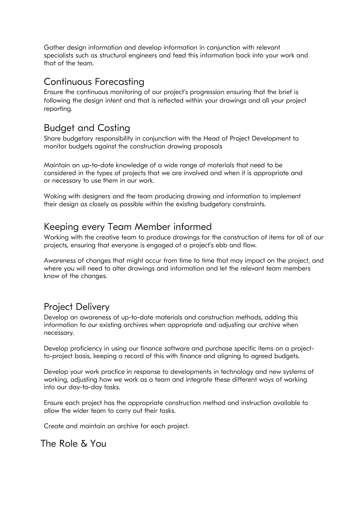Gather design information and develop information in conjunction with relevant specialists such as structural engineers and feed this information back into your work and that of the team.

#### Continuous Forecasting

Ensure the continuous monitoring of our project's progression ensuring that the brief is following the design intent and that is reflected within your drawings and all your project reporting.

# Budget and Costing

Share budgetary responsibility in conjunction with the Head of Project Development to monitor budgets against the construction drawing proposals

Maintain an up-to-date knowledge of a wide range of materials that need to be considered in the types of projects that we are involved and when it is appropriate and or necessary to use them in our work.

Woking with designers and the team producing drawing and information to implement their design as closely as possible within the existing budgetary constraints.

#### Keeping every Team Member informed

Working with the creative team to produce drawings for the construction of items for all of our projects, ensuring that everyone is engaged of a project's ebb and flow.

Awareness of changes that might occur from time to time that may impact on the project, and where you will need to alter drawings and information and let the relevant team members know of the changes.

# Project Delivery

Develop an awareness of up-to-date materials and construction methods, adding this information to our existing archives when appropriate and adjusting our archive when necessary.

Develop proficiency in using our finance software and purchase specific items on a projectto-project basis, keeping a record of this with finance and aligning to agreed budgets.

Develop your work practice in response to developments in technology and new systems of working, adjusting how we work as a team and integrate these different ways of working into our day-to-day tasks.

Ensure each project has the appropriate construction method and instruction available to allow the wider team to carry out their tasks.

Create and maintain an archive for each project.

# The Role & You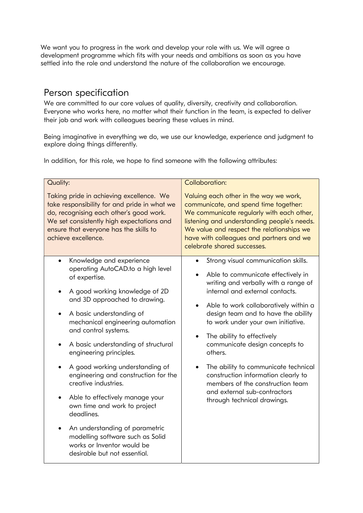We want you to progress in the work and develop your role with us. We will agree a development programme which fits with your needs and ambitions as soon as you have settled into the role and understand the nature of the collaboration we encourage.

# Person specification

We are committed to our core values of quality, diversity, creativity and collaboration. Everyone who works here, no matter what their function in the team, is expected to deliver their job and work with colleagues bearing these values in mind.

Being imaginative in everything we do, we use our knowledge, experience and judgment to explore doing things differently.

In addition, for this role, we hope to find someone with the following attributes:

| <b>Quality:</b>                                                                                                                                                                                                                                                                                                                                                                                                                                                                                                                                                                                                                                                                          | <b>Collaboration:</b>                                                                                                                                                                                                                                                                                                                                                                                                                                                                                                                                |
|------------------------------------------------------------------------------------------------------------------------------------------------------------------------------------------------------------------------------------------------------------------------------------------------------------------------------------------------------------------------------------------------------------------------------------------------------------------------------------------------------------------------------------------------------------------------------------------------------------------------------------------------------------------------------------------|------------------------------------------------------------------------------------------------------------------------------------------------------------------------------------------------------------------------------------------------------------------------------------------------------------------------------------------------------------------------------------------------------------------------------------------------------------------------------------------------------------------------------------------------------|
| Taking pride in achieving excellence. We<br>take responsibility for and pride in what we<br>do, recognising each other's good work.<br>We set consistently high expectations and<br>ensure that everyone has the skills to<br>achieve excellence.                                                                                                                                                                                                                                                                                                                                                                                                                                        | Valuing each other in the way we work,<br>communicate, and spend time together:<br>We communicate regularly with each other,<br>listening and understanding people's needs.<br>We value and respect the relationships we<br>have with colleagues and partners and we<br>celebrate shared successes.                                                                                                                                                                                                                                                  |
| Knowledge and experience<br>$\bullet$<br>operating AutoCAD.to a high level<br>of expertise.<br>A good working knowledge of 2D<br>$\bullet$<br>and 3D approached to drawing.<br>A basic understanding of<br>mechanical engineering automation<br>and control systems.<br>A basic understanding of structural<br>$\bullet$<br>engineering principles.<br>A good working understanding of<br>engineering and construction for the<br>creative industries.<br>Able to effectively manage your<br>$\bullet$<br>own time and work to project<br>deadlines.<br>An understanding of parametric<br>modelling software such as Solid<br>works or Inventor would be<br>desirable but not essential. | Strong visual communication skills.<br>Able to communicate effectively in<br>writing and verbally with a range of<br>internal and external contacts.<br>Able to work collaboratively within a<br>design team and to have the ability<br>to work under your own initiative.<br>The ability to effectively<br>$\bullet$<br>communicate design concepts to<br>others.<br>The ability to communicate technical<br>construction information clearly to<br>members of the construction team<br>and external sub-contractors<br>through technical drawings. |